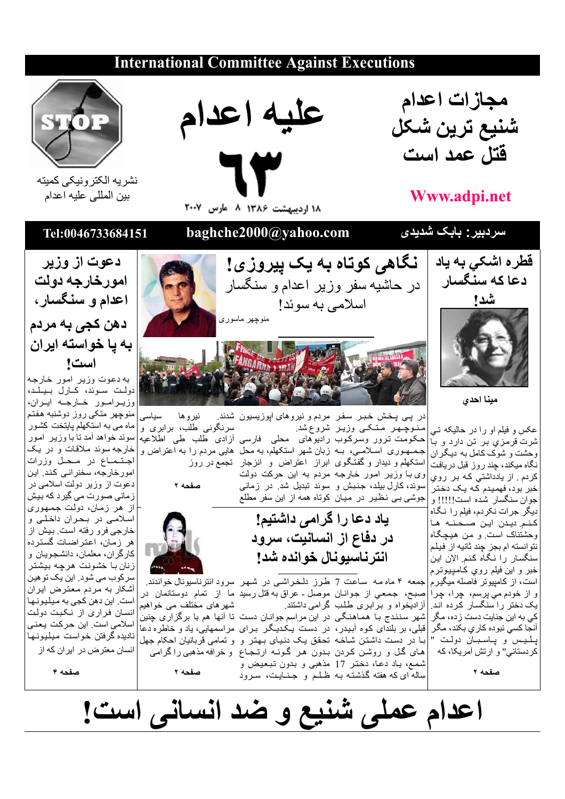## **International Committee Against Executions**



## **Www.adpi.net**

سردبیر : بابک شدیدی







نشر يه الكتر ونيكي كميته بين المللي عليه اعدام

## Tel:0046733684151

دعوت از وزير

امورخارجه دولت

اعدام و سنگسار،

ده*ن* کج*ی* به مردم

به یا خواسته ایران است! به دعوت وزير امور خارجه دولت سوئد، كارل بيلد،

وزيرامور خارجه ايران، منوچهر متكي روز دوشنبه هفتم

ماه می به استکهلم پایتخت کشور

سوئد خواهد أمد تا با وزير امور



مينا احدى

عکس و فیلم او را در حالیکه تبی شرت قرمزي بر تن دارد و بـّا وحشت و شوک کامل به دیگران نگاه میکند، چند روز قبل دریافت کر دم . از پادداشتی کـه بر روی خبر بود، فهمیدم کـه یـک دختر جوان سنگسار شده است!!!!! و نيگر جرات نكردم، فيلم را نگاه كنم ديدن اين صحنه ها وحشتناک است و من هیچگاه نتوانسته ام بجز چند ثانیه از فیلم سنگسار (ا نگاه کنم الان این خبر و اين فيلم رو*ي* كـامپيوترم است، از کامپیوتر فاصله میگیرم|جمعه ۴ ماه مه ساعت 7 طرز دلـخـراشـی در شـهـر سرود انترنـاسیونـال خواندند. ر از خودم *می* پرسم، چرا، چرا أزاديّخواه و برّابري طلب گرامي داشتند. یک دختر را سنگسار کرده اند. کی به این جنایت دست زده، مگر آنجا کس*ی* نبوده کار *ي* بکند، مگر لليس و پاسبان دولت " کر دستانی" و ارتش آمریکا، که

صفحه ٢



baghche2000@yahoo.com

نر پــي پـخـش خـبـر سـفـر مردم و نيروهاي اپوزيسيون شدند. سرنگونی طلب، برابری و منوچهر متکی وزیر شروعشد. حکومت ترور وسرکوب رادیوهای محلی فارسی أزادی طلب طی اطلاعیه جـمـهـوری اسـلامــی، بــه زبان شهر استکهلم، بـه محل هایـی مردم را بـه اعتراض و استکهلم و دیدار و گفتگوی ابراز اعتراض و انزجار تجمع در روز وی با وزیر امور خارجه مردم به این حرکت دولت سوئد، کارل بیلد، جنبش و سوئدٌ تبدیل شد. در زمانی جوشی ببی نظیر در میان کوتاه همه از این سفر مطلع

ياد دعا را گرامي داشتيم!

در دفاع از انسانیت، سرود

انترناسيونال خوانده شد!

ساله ای که هفته گذشته بـه ظـلـم و جـنــایـت، سـرود

نگاهی کوتاه به یک پیروزی!

صفحه ٢



صبح، جمعي از جوانـان موصل ـ عراق به قتل رسيد ما از تمام دوستانمان در شھرهای مختلف می خواهیم شهر سنندج بـا همـاهنـگـی در این مراسم جوانـان دست تا آنها هم با برگزاری چِنین قبلی، بر بلندای کوه آبیدر، در دست پـکـدیـگـر بـرای مراسمهایی، یاد و خاطره دعا بـا در دست داشتن شـاخـه تحقق یـک دنیـای بـهتر و و تمامی قربانیان احکام جهل های گل و روشن کردن بدون هر گونـه ارتـجـاع و خرافه مذهبی راگرامی شمع، ياد دعا، دختر 17 مذهبي و بدون تبعيض و

صفحه ٢

خارجه سوئد ملاقات و در يک اجتماع در محل وزرات امور خارجه، سخنر انبي كند. اين دعوت از وزیر دولت اسلامی در زمانی صورت می گیرد که بیش از هر زمان، دولت جمهوری اسلامی در بحران داخلی و خارجي فرو رفته است بيش از هر زمان، اعتراضات گسترده كارگران، معلمان، دانشجويان و زنان با خشونت هرچه بیشتر سر کوب می شود. این یک تو هین أشكار به مردم معترض ايران است. این دهن کجی به میلیونها انسان فراری از نکبت دولت اسلامی است. این حرکت یعنی

ناديده گرفتن خواست ميليونها انسان معترض در ایر ان که از

صفحه ۴

اعدام عملی شنیع و ضد انسانی است!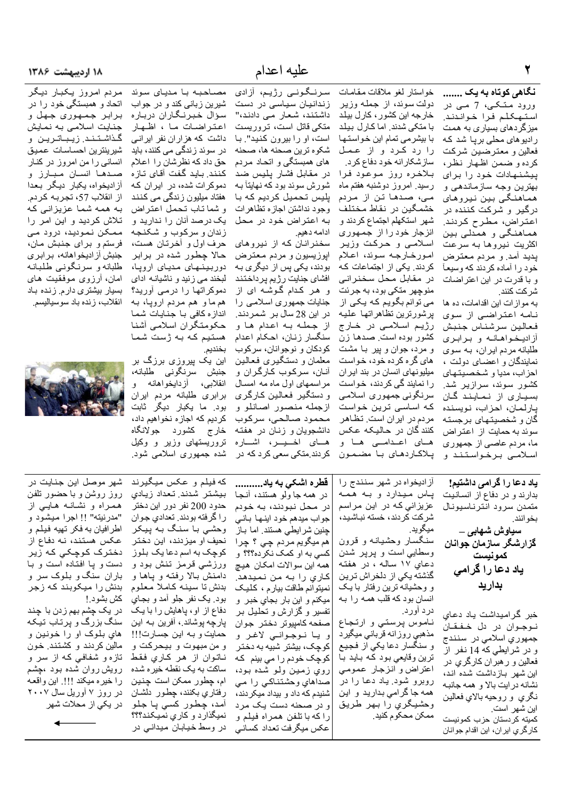نگاهی کوتاه به یک ....... ورود متکی، 7 مے در استهكلم فرا خواندند. میزگردها*ی* بسیا*ری ب*ه همت رادیوهای محلی برپا شد که فعالين و معترضين شركت كرده و ضمن اظهار نظر، پیشنهادات خود را برای بهترين وجه سازماندهي و هماهنگي بين نيروهاي در گیر و شرکت کننده در اعتراض، مطرح كردند. هماهنگی و همدلی بین اكثريت نيروها به سرعت يديد أمد و مردم معترض خود ر ا آماده کر دند که و سیعـآ و با قدرت در این اعتراضات شر كت كنند.

به موازات این اقدامات، ده ها نامه اعتراضی از سوی فعالين سرشناس جنبش أز اديخواهانه و برابري طلبانه مردم ايران، به سوى نمایندگان و اعضـای دولت ، احزاب، مديا و شخصيتهاي کشور سوئد، سرازیر شد. بسیاری از نمایند گان يارلمان، احزاب، نويسنده گان و شخصیتهای برجسته سوئد به حمایت از اعتراض ما، مردم عاصبي از جمهوري اسلامے برخواستند و

خواستار لغو ملاقات مقامات دولت سوئد، از جمله وزير خارجه این کشور، کارل بیلد با متکی شدند. اما کارل بیلد با بیشرمی تمام این خواستها را رد کرد و از عمل ساز شکار انه خو د دفاع کر د. بلاخره روز موعود فرا رسید. امروز دوشنبه هفتم ماه می، صدها تن از مردم خشمگین در نقاط مختلف شهر استكهلم اجتماع كردند و انزجار خود را از جمهوری اسلامسي و حركت وزير امورخارجه سوئد، اعلام كردند. يكي از اجتماعات كـه در مقابل محل سخنراني منوچهر متکی بود، به جرئت می توانم بگویم که یکی از برشورترين تظاهراتها عليه رژیم اسلامی در خارج كشور بوده است. صدها زن و مرد، جوان و پیر بـا مشت های گره کرده خود، خواست میلیونهای انسان در بند ایران را نمایند گی کردند، خواست سرنگوني جمهوري اسلامي که اساسی ترین خواست مردم در ایران است. تظاهر كنند گان در حاليكه عكس های اعدامے ها و پلاكاردهاى با مضمون

عليه اعدام

زندانیان سیاسی در دست

داشتند، شعار می دادند،"

متکی قاتل است، تروریست

ها*ی* همبستگی و اتحـاد مـر دم

شورش سوئد بود كه نهايتأ بـه

بودند، یکی پس از دیگری به

افشاي جنايت رژيم پرداختند

و هر کدام گوشـه ای از

جنایات جمهوری اسلامی را

در این 28 سال بر شمردند.

از جمله به اعدام ها و

معلمان و دستگیری فعالین

أنــان، سركـوب كــارگـران و

مراسمهای اول ماه مه امسال

و دستگير فعالين كارگر*ى* 

ازجمله منصور اصانلو و

محمود صالحي، سركوب

دانشجویان و زنان در هفته

هسای اخسیسر، اشساره

کر دند متکے سعے کر د که در

ادامه دهيم.

۱۸ اردیبهشت ۱۳۸۶

مردم امروز يكبار ديگر

اتحاد و همبستگی خود را در

برابر جمهوري جهل و جنایت اسلامی به نمایش

گذاشتند زيباترين و

شيرينترين احساسات عميق

انسانی را من امر وز در کنـار

صـدهـا انسـان مـبـارز و

أزاديخواه، يكبار ديگر بعدا

از انقلاب 57، تجربه كردم.

به همه شما عزیزانی که

تلاش کردید و این امر را

ممکن نمودید، درود می

فرستم و برای جنبش مان،

جنبش أزاديخواهانه، برابري

طلبانه و سرنگونبي طلبانه

امان، آر زوی موفقیت های

بسیار بیشتری دارم. زنده باد

انقلاب، زنده باد سوسياليسم.

مصاحبه با مدیای سوئد سرنىگونىي رژيم، أزادى شیرین زبانی کند و در جواب سؤال خبرنگاران درباره اعتراضات ما ، اظهار داشت که هزاران نفر ایرانی است، او را بیرون کنید". با در سوئد زندگ*ی می* کنند، باید شكوه ترين صحنه ها، صحنه حق داد که نظر شان را اعلام كنند. بـايد گـفت آقـاي تـاز ه در مقابل فشار يليس ضد دموکرات شده، در ایران که هفتاد میلیون زندگی می کنند پلیس تحمیل کردیم که با و شما تـاب تـحمل اعتراض وجود نداشتن اجاز ه تظاهر ات یک درصد آنان را ندارید و به اعتر اض خود در محل زندان و سركوب و شكنجه حرف اول و أخرتان هست، سخنرانان كه از نيروهاي حالا چطور شده در برابر ايوزيسيون و مردم معترض دوربینهای مدیای ارویا، لبخند مے ز نید و ناشیانـه ادای دموکراتها را درمی آورید؟ هم ما و هم مردم اروپا، به اندازه كافى با جنايات شما حكومتكران اسلامي أشنا هستیم که به ژست شما سنگسار زنان، احکام اعدام بخنديم. كودكان و نوجوانان، سركوب

این یک پیروزی برزگ بر جنبش سرنگونى طلبانه، انقلابی، أزدایخواهانه و برابرى طلبانه مردم ايران بود. ما يكبار ديگر ثابت كرديم كه اجاز ه نخواهيم داد، خارج كشورد جولانگاه تروریستهای وزیر و وکیل شده جمهوری اسلامی شود<sub>.</sub>

**STATE** 

ياد دعا را گرامي داشتيم! بدارند و در دفاع از انسانیت متمدن سرود انترناسيونال بخو انند. سیاوش شهابی \_ گزارشگر سازمان جوانان كمونيست یاد دعا را گرامی بداريد

خبر گرامیداشت یاد دعاي نوجوان در دل خفقان جمهوري اسلامي در سنندج و در شرایطی که 14 نفر از فعالین و ر هبران کارگری در ابن شهر باز داشت شده اند، نشانه در ایت بالا و همه جانبه نگري و روحيه بالاي فعالين این شهر است.

كميته كردستان حزب كمونيست كارگري ايران، اين اقدام جوانان

آزاديخواه در شهر سنندج را یاس میدارد و به همه عزیزانی که در این مراسم شركت كردند، خسته نباشيد، ميگويد.

سنگسار وحشیانه و قرون وسطایی است و پرپر شدن دعاي ۱۷ ساله ، در هفته گذشته یکی از دلخراش ترین و وحشیانه ترین رفتار با یک انسان بود که قلب همـه را بـه درد أورد.

ناموس پرستي و ارتجاع مذهبي روزانه قرباني ميگيرد و سنگسار دعا یکی از فجیع ترين وقايعي بود كـه بـايد بـا اعتراض و انزجار عمومى روبرو شود. یاد دعا را در همه جا گرامی بدارید و این وحشيگري را بهر طريق ممكن محكوم كنيد.

قطره اشکی به یاد.......... در همه جا ولو هستند، آنجا در محل نبودند، به خودم جواب ميدهم خود اينها باني چنین شرایطی هستند. اما بـاز هم ميگويم مردم چي ؟ چرا كسي به او كمك نكرده؟؟؟ و همه این سوالات امکان هیچ کاری را به من نمیدهد. نميتو انم طاقت بيار م ، كليك ميكنم و اين بار بجاي خبر و تفسیر و گزارش و تحلیل بر صفحه كامپيوتر دختر جوان و يا نوجواني لاغر و کوچک، بیشتر شبیه به دختر کوچک خودم را می بینم که روي زمين ولو شده بود، صداهاي وحشتناكي را مي شنیدم که داد و بیداد میکر دند، و در صحنه دست یک مرد را كه با تلفن همراه فيلم و عكس ميگرفت تعداد كساني

که فیلم و عکس میگیرند بيشتر شدند تعداد زيادى حدود 200 نفر دور این دختر را گرفته بودند. تعدادي جوان وحشی با سنگ به پیکر نحيف او ميزدند، اين دختر کوچک به اسم دعا یک بلوز ورزشي قرمز تنش بود و دامنش بالا رفته و ياها و بدنش تا سينه كاملا معلوم بود. یک نفر جلو آمد و بجای دفاع از او، پاهایش را با یک پارچه پوشاند ، آفرين بـه اين حمايت و به اين جسارت!!! و من مبهوت و بيحركت و ناتوان از هر كاري فقط ساکت به یک نقطه خیره شده ام، چطور ممکن است چنین رفتاري بكنند، چطور دلشـان آمد، چطور کسی پا جلو نمیگذار د و کاری نمیکند؟؟؟ در وسط خیابان میدانی در

شهر موصل این جنایت در روز روشن و با حضور تلفن همراه و نشانـه هـايــي از "مدرنيته" !! اجرا ميشود و اطرافيان به فكر تهيه فيلم و عكس هستند، نه دفاع از دخترک کوچکی که زیر دست و پا افتاده است و با باران سنگ و بلوک سر و بدنش را میکوبند که زجر كش بشود !

در یک چشم بهم زدن با چند سنگ بزرگ و پرتاب تیکه هاي بلوک او را خونين و مالین کردند و کشتند. خون تازه و شفافی که از سر و رویش روان شده بود ،چشم را خيره ميكند !!!. اين واقعه در روز ۷ آوریل سال ۲۰۰۷ در بکی از محلات شهر

 $\leftarrow$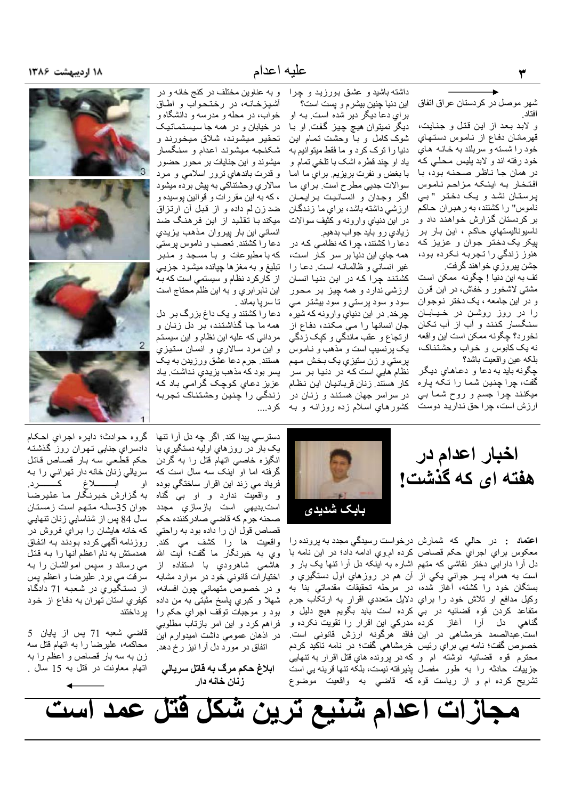شهر موصل در كردستان عراق اتفاق افتاد

و لابد بعد از این قتل و جنایت، قهرمانـان دفـاع از نـامـوس دستـهـاي خود را شسته و سربلند به خانـه هـاي خود رفته اند و لابد پلیس محلبی که در همان جا ناظر صحنه بود، با افتخار به اينكه مزاحم ناموس پرستان نشد و يک دختر "بي .<br>ناموس" را کشتند، به رهبران حاکم بر کردستان گزارش خواهند داد و ناسيوناليستهاي حاكم ، اين بـار بـر پیکر یک دختر جوان و عزیز که هنوز زندگی را تجربه نکرده بود، جشن بیروزی خواهند گرفت.

تف به این دنیا ! چگونه ممکن است مشتبی لاشخور و خفاش، در این قرن و در این جامعه ، یک دختر نـوجـوان را در روز روشن در خیـابــان سنگسار کنند و أب از أب تکان نخورد؟ چگونه ممكن است اين واقعه نه یک کابوس و خواب وحشتناک، بلكه عين واقعيت باشد؟

چگونه باید به دعا و دعاهای دیگر گفت، چرا چنین شما را تکه پاره ميکنند چرا جسم و روح شما بي ارزش است، چرا حق ندارید دوست

داشته باشید و عشق بورزید و چرا این دنیا چنین بیشر م و یست است؟

بر اي دعا ديگر دير شده است. بـه او ديگر نميتوان هيچ چيز گفت. او با شوک کامل و بـا وحشت تـمـام ايـن دنیا را ترک کرد و ما فقط میتوانیم به یاد او چند قطره اشک با تلخی تمام و با بغض و نفرت بريزيم. براي ما امـا سوالات جديي مطرح است. براي ما اگر وجدان و انسانیت برایمان ارزشی داشته باشد، برای ما زندگـان در این دنیای وارونه و کثیف سوالات زيادي رو بايد جواب بدهيم.

دعا را کشتند، چرا که نظامی که در همه جای این دنیا بر سر کار است، غیر انسانی و ظالمانه است دعا را کشتند چرا که در این دنیا انسان ارزشی ندارد و همه چیز بر محور سود و سود پرستی و سود بیشتر می چرخد. در اين دنياي وارونه كه شيره جان انسانها را مي مكند، دفاع از ارتجاع و عقب ماندگی و کیک زدگی يک پرنسيپ است و مذهب و نـامـوس پرستي و زن ستيزي يک بخش مـهم نظام هایی است که در دنیا بر سر كار هستند. زنان قربانيان اين نظام در سراسر جهان هستند و زنان در کشورهای اسلام زده روزانـه و بـه کرد...

و به عناوین مختلف در کنج خانه و در آشيز خانـه، در رختـحـواب و اطـاق خواب، در محله و مدرسه و دانشگاه و در خیابان و در همه جا سیستماتیک تحقير ميشوند، شلاق ميخورند و شكنجه ميشوند اعدام و سنگسار میشوند و این جنایات بر محور حضور و قدرت باندهاي نرور اسلامي و مرد سالاري وحشتناكي به پيش برده ميشود ، که به این مقررات و قوانین پوسیده و ضد زن لم داده و از قبل ان ارتزاق میکند با تقلید از این فرهنگ ضد انساني اين بار پيروان مذهب يزيدي دعا را كشتند. تعصب و ناموس پرستي كه با مطبوعات و با مسجد و منبر تبلیغ و به مغز ها چپانده میشود جزیبی از کارکرد نظام و سیستمی است که بـه این نابرابري و به این ظلم محتاج است تا سرپا بماند .

دعا را کشتند و یک داغ بزرگ بر دل همه ما جا گذاشتند، بر دل زنان و مردانی که علیه این نظام و این سیستم و اين مرد سالاري و انسان ستيزي هستند. جرم دعا عشق ورزيدن به يك پسر بود که مذهب بزیدیِ نداشت. یاد عزیز دعاي کوچک گرامی باد که زندگي را چنين وحشتناک تجربه







**اعتماد :** در حالي که شمارش درخواست رسيدگي مجدد به پرونده را معکوس براي اجراي حکم قصاص کرده ام وي ادامه داد؛ در اين نامه با دل أرا دارابي دختر نقاشي كه متهم اشاره به اينكه دل أرا تنها يک بار و است به همراه پسر جوانبي يکي از آن هم در روزهاي اول دستگيري و بستگان خود را کشته، آغاز شده، در مرحله تحقیقات مقدماتی بنا به وكيل مدافع او تلاش خود را براي دلايل متعددي اقرار به ارتكاب جرم متقاعد كردن قوه قضائيه در بي كرده است بايد بگويم هيچ دليل و است عبدالصمد خرمشاهي در اين فاقد هرگونه ارزش قانوني است. خصوص گفت؛ نامه ببي براي رئيس خرمشاهي گفت؛ در نامه تاكيد كردم محترم قوه قضائيه نوشته ام و كه در پرونده هاي قتل اقرار به تنهايي جزییات حادثه را به طور مفصل پذیرفته نیست، بلکه تنها قرینه یی است تشریح کرده ام و از ریاست قوه که قاضبی به واقعیت موضوع

دسترسی پیدا کند. اگر چه دل آرا تنها یک بار در روزهای اولیه دستگیری با انگیزه خاصبی اتهام قتل را به گردن گرفته اما او اینک سه سال است که فریاد می زند این اقرار ساختگی بوده و واقعيت ندارد و او بي گناه است بدیهی است بازسا*زی* مجدد صحنه جرم كه قاضي صادر كننده حكم قصاص قول أن را داده بود به راحتي واقعيت ها را كشف م*ي* كند<sub>.</sub> وي به خبرنگار ما گفت؛ أيت الله هاشمی شاهرودیِ با استفاده از اختیار ات قانونی خود در موارد مشابه و در خصوص متهمانی چون افسانه، شهلا و کبري پاسخ مثبتي به من داده بود و موجبات توقف اجراي حكم را فراهم كرد و اين امر بازتاب مطلوبي

در اذهان عمومي داشت اميدوارم اين اتفاق در مورد دل آرا نیز رخ دهد.

ابلاغ حکم مرگ به قاتل سریالی زنان خانه دار

گروه حوادث؛ دايره اجراي احكام دادسرای جنایی تـهران روز گذشتـه حكم قطعي سه بار قصاص قاتل سریالی زنان خانه دار تهرانی را به ابــــــــــلاغ كـــــــــــرد. او به گزارش خبرنگار ما علیرضا جوان 35ساله متهم است زمستان سال 84 پس از شناسایی زنان تنهایی که خانه هایشان را برایِ فروش در روزنامه أگهي كرده بودند بـه اتفاق همدستش به نام اعظم أنها را به قتل می رساند و سپس اموالشان را به سرقت می برد. علیرضا و اعظم پس از دستگیریِ در شعبه 71 دادگاه كيفري استان تهران به دفاع از خود ير داختند

قاضی شعبه 71 پس از پایان 5 محاکمه، علیرضا را به اتهام قتل سه زن به سه بار قصاص و اعظم را به اتهام معاونت در قتل به 15 سال .